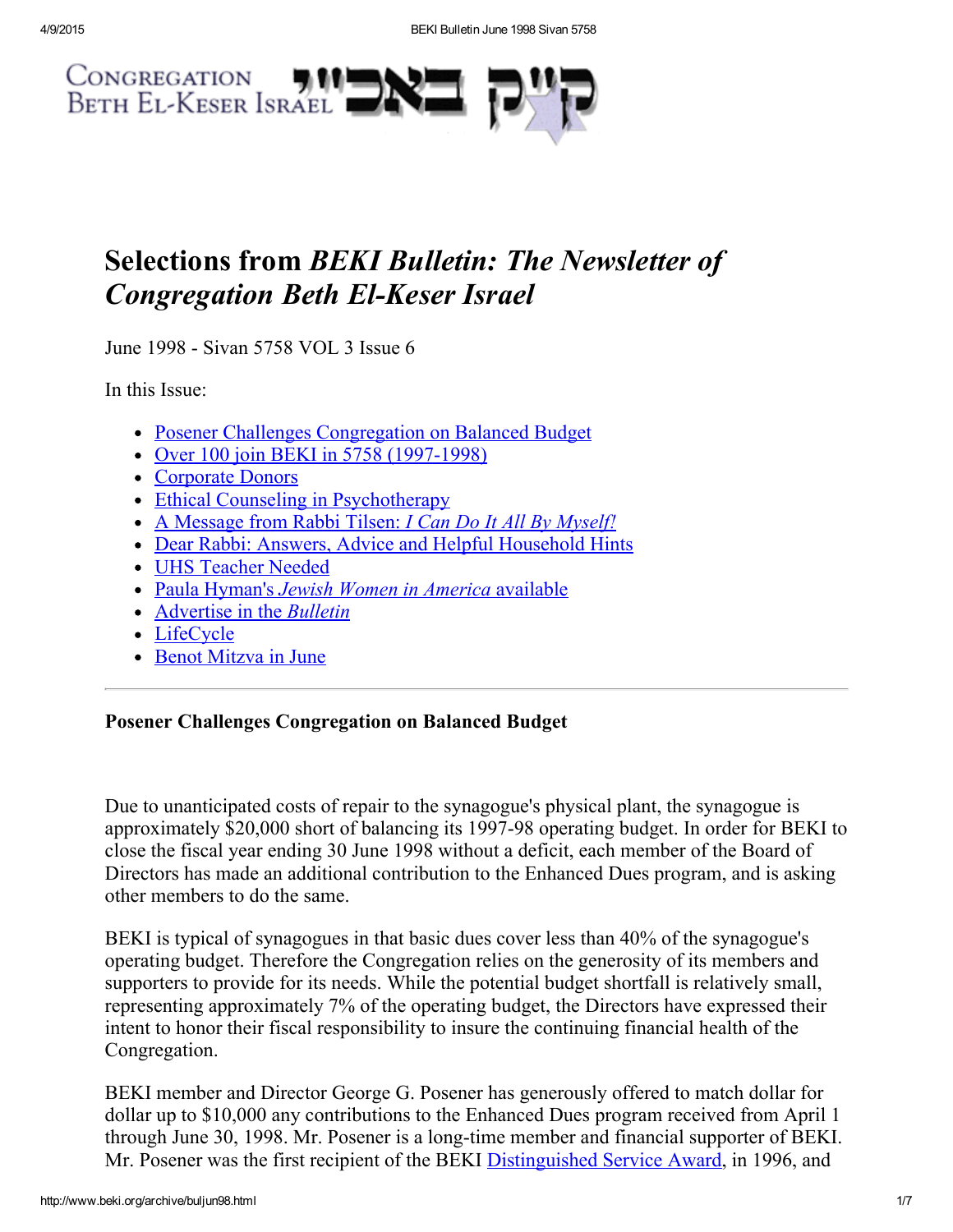

# Selections from BEKI Bulletin: The Newsletter of **Congregation Beth El-Keser Israel**

June 1998 - Sivan 5758 VOL 3 Issue 6

In this Issue:

- Posener Challenges [Congregation](#page-0-0) on Balanced Budget
- Over 100 join BEKI in 5758 (1997-1998)
- [Corporate](#page-2-0) Donors
- Ethical Counseling in [Psychotherapy](#page-2-1)
- A [Message](#page-2-2) from Rabbi Tilsen: *I Can Do It All By Myself!*
- Dear Rabbi: Answers, Advice and Helpful [Household](#page-3-0) Hints
- UHS [Teacher](#page-4-2) Needed
- Paula Hyman's Jewish Women in America [available](#page-4-0)
- [Advertise](#page-4-3) in the *Bulletin*
- [LifeCycle](#page-4-1)
- Benot [Mitzva](#page-5-0) in June

# <span id="page-0-0"></span>Posener Challenges Congregation on Balanced Budget

Due to unanticipated costs of repair to the synagogue's physical plant, the synagogue is approximately \$20,000 short of balancing its 1997-98 operating budget. In order for BEKI to close the fiscal year ending 30 June 1998 without a deficit, each member of the Board of Directors has made an additional contribution to the Enhanced Dues program, and is asking other members to do the same.

BEKI is typical of synagogues in that basic dues cover less than 40% of the synagogue's operating budget. Therefore the Congregation relies on the generosity of its members and supporters to provide for its needs. While the potential budget shortfall is relatively small, representing approximately 7% of the operating budget, the Directors have expressed their intent to honor their fiscal responsibility to insure the continuing financial health of the Congregation.

BEKI member and Director George G. Posener has generously offered to match dollar for dollar up to \$10,000 any contributions to the Enhanced Dues program received from April 1 through June 30, 1998. Mr. Posener is a long-time member and financial supporter of BEKI. Mr. Posener was the first recipient of the BEKI [Distinguished](http://www.beki.org/archive/distinguished.html#george) Service Award, in 1996, and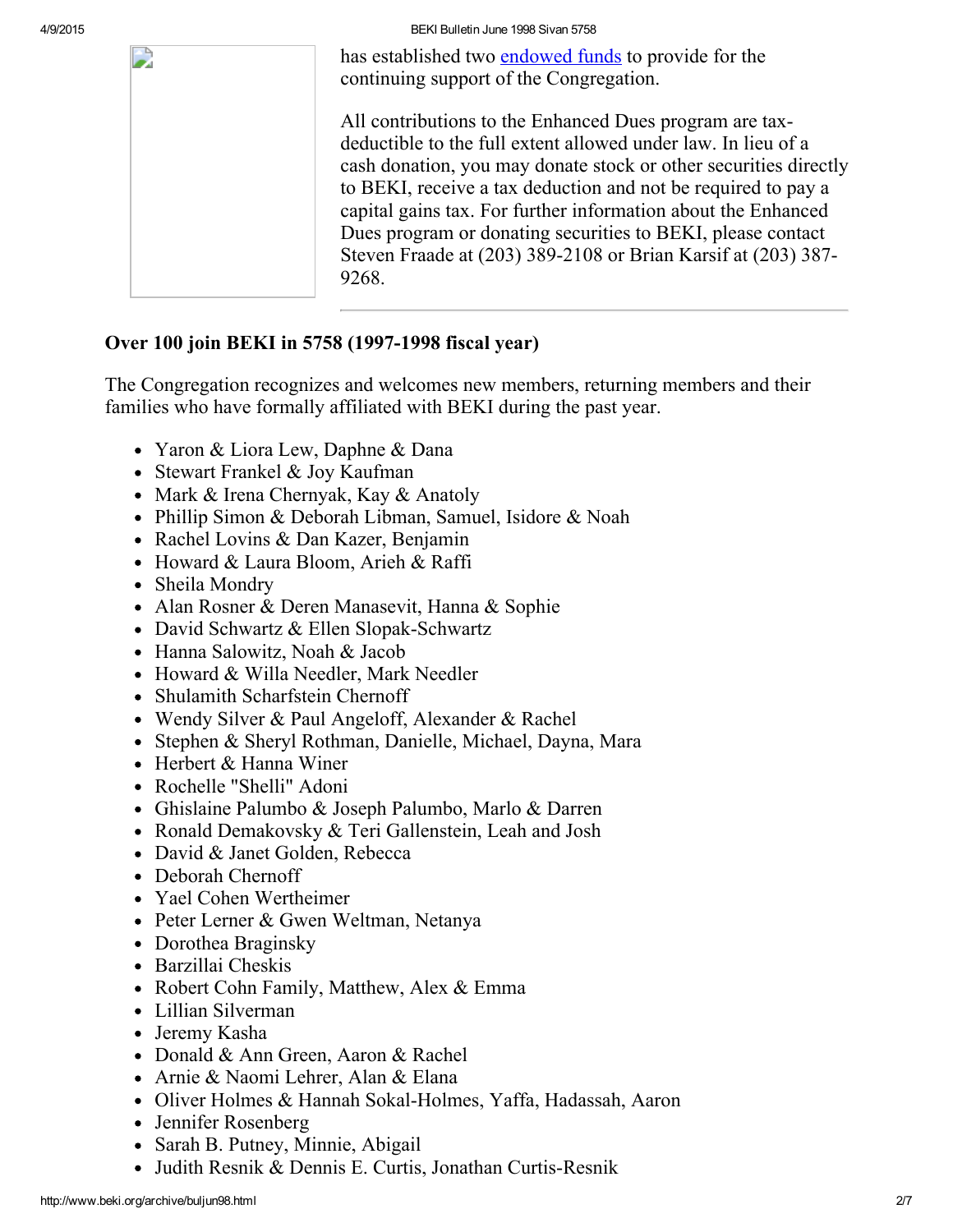4/9/2015 BEKI Bulletin June 1998 Sivan 5758

has established two [endowed](http://www.beki.org/archive/endow.html) funds to provide for the continuing support of the Congregation.

All contributions to the Enhanced Dues program are taxdeductible to the full extent allowed under law. In lieu of a cash donation, you may donate stock or other securities directly to BEKI, receive a tax deduction and not be required to pay a capital gains tax. For further information about the Enhanced Dues program or donating securities to BEKI, please contact Steven Fraade at (203) 389-2108 or Brian Karsif at (203) 387-9268.

## <span id="page-1-0"></span>Over 100 join BEKI in 5758 (1997-1998 fiscal year)

The Congregation recognizes and welcomes new members, returning members and their families who have formally affiliated with BEKI during the past year.

- Yaron & Liora Lew, Daphne & Dana
- Stewart Frankel & Joy Kaufman
- Mark & Irena Chernyak, Kay & Anatoly
- Phillip Simon & Deborah Libman, Samuel, Isidore & Noah
- Rachel Lovins & Dan Kazer, Benjamin
- Howard & Laura Bloom, Arieh & Raffi
- Sheila Mondry
- Alan Rosner & Deren Manasevit, Hanna & Sophie
- David Schwartz  $&$  Ellen Slopak-Schwartz
- Hanna Salowitz, Noah & Jacob
- Howard & Willa Needler, Mark Needler
- Shulamith Scharfstein Chernoff
- Wendy Silver & Paul Angeloff, Alexander & Rachel
- Stephen & Sheryl Rothman, Danielle, Michael, Dayna, Mara
- Herbert & Hanna Winer
- Rochelle "Shelli" Adoni
- Ghislaine Palumbo & Joseph Palumbo, Marlo & Darren
- Ronald Demakovsky & Teri Gallenstein, Leah and Josh
- David & Janet Golden, Rebecca
- Deborah Chernoff
- Yael Cohen Wertheimer
- Peter Lerner & Gwen Weltman, Netanya
- Dorothea Braginsky
- Barzillai Cheskis
- Robert Cohn Family, Matthew, Alex & Emma
- Lillian Silverman
- Jeremy Kasha
- Donald & Ann Green, Aaron & Rachel
- Arnie & Naomi Lehrer, Alan & Elana
- Oliver Holmes & Hannah Sokal-Holmes, Yaffa, Hadassah, Aaron
- Jennifer Rosenberg
- Sarah B. Putney, Minnie, Abigail
- Judith Resnik & Dennis E. Curtis, Jonathan Curtis-Resnik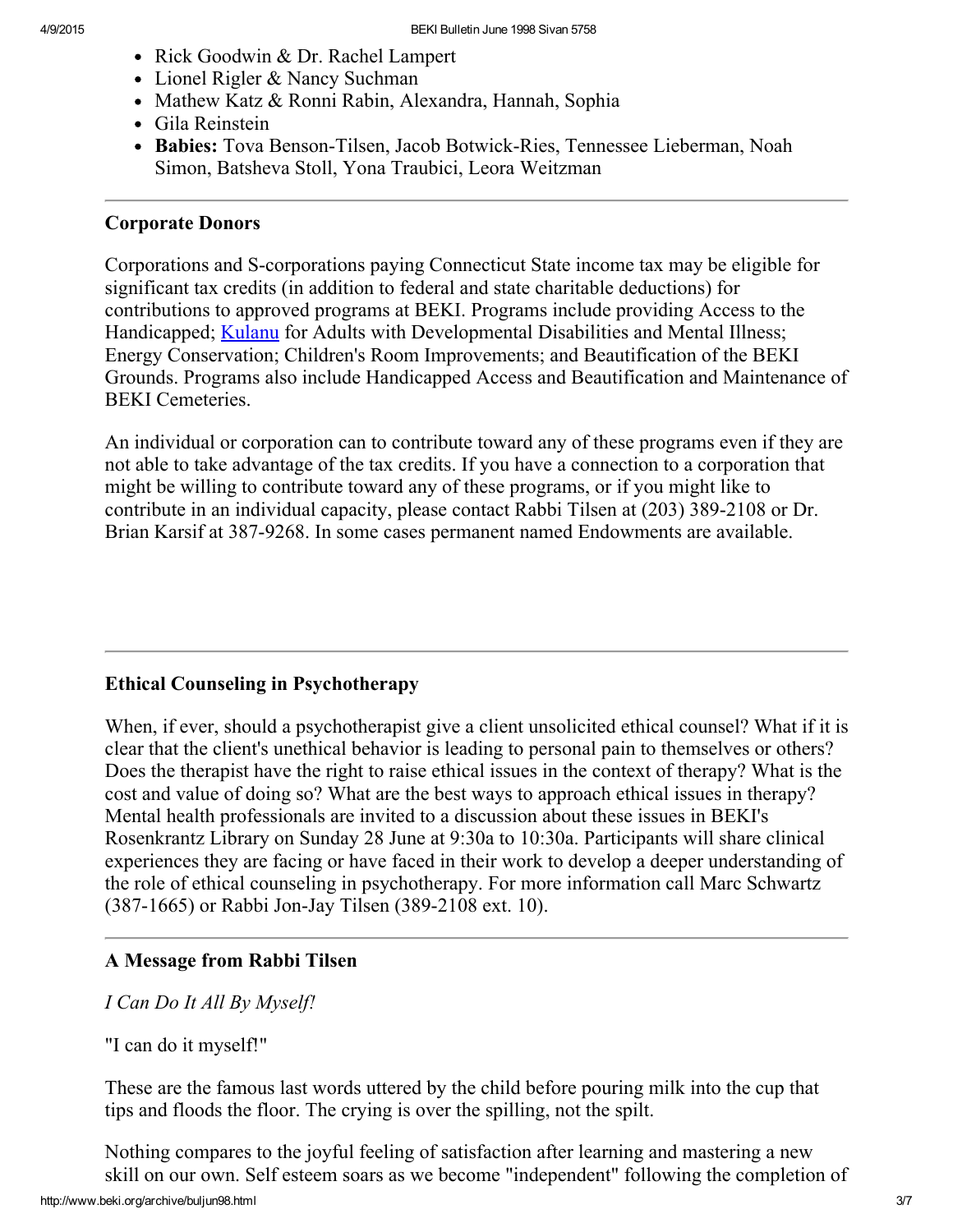- Rick Goodwin & Dr. Rachel Lampert
- Lionel Rigler & Nancy Suchman
- Mathew Katz & Ronni Rabin, Alexandra, Hannah, Sophia
- Gila Reinstein
- Babies: Tova Benson-Tilsen, Jacob Botwick-Ries, Tennessee Lieberman, Noah Simon, Batsheva Stoll, Yona Traubici, Leora Weitzman

#### <span id="page-2-0"></span>Corporate Donors

Corporations and S-corporations paying Connecticut State income tax may be eligible for significant tax credits (in addition to federal and state charitable deductions) for contributions to approved programs at BEKI. Programs include providing Access to the Handicapped; **[Kulanu](http://www.beki.org/archive/kulanu.html)** for Adults with Developmental Disabilities and Mental Illness; Energy Conservation; Children's Room Improvements; and Beautification of the BEKI Grounds. Programs also include Handicapped Access and Beautification and Maintenance of BEKI Cemeteries.

An individual or corporation can to contribute toward any of these programs even if they are not able to take advantage of the tax credits. If you have a connection to a corporation that might be willing to contribute toward any of these programs, or if you might like to contribute in an individual capacity, please contact Rabbi Tilsen at (203) 389-2108 or Dr. Brian Karsif at 387-9268. In some cases permanent named Endowments are available.

#### <span id="page-2-1"></span>Ethical Counseling in Psychotherapy

When, if ever, should a psychotherapist give a client unsolicited ethical counsel? What if it is clear that the client's unethical behavior is leading to personal pain to themselves or others? Does the therapist have the right to raise ethical issues in the context of therapy? What is the cost and value of doing so? What are the best ways to approach ethical issues in therapy? Mental health professionals are invited to a discussion about these issues in BEKI's Rosenkrantz Library on Sunday 28 June at 9:30a to 10:30a. Participants will share clinical experiences they are facing or have faced in their work to develop a deeper understanding of the role of ethical counseling in psychotherapy. For more information call Marc Schwartz (387-1665) or Rabbi Jon-Jay Tilsen (389-2108 ext. 10).

#### <span id="page-2-2"></span>A Message from Rabbi Tilsen

I Can Do It All By Myself!

"I can do it myself!"

These are the famous last words uttered by the child before pouring milk into the cup that tips and floods the floor. The crying is over the spilling, not the spilt.

Nothing compares to the joyful feeling of satisfaction after learning and mastering a new skill on our own. Self esteem soars as we become "independent" following the completion of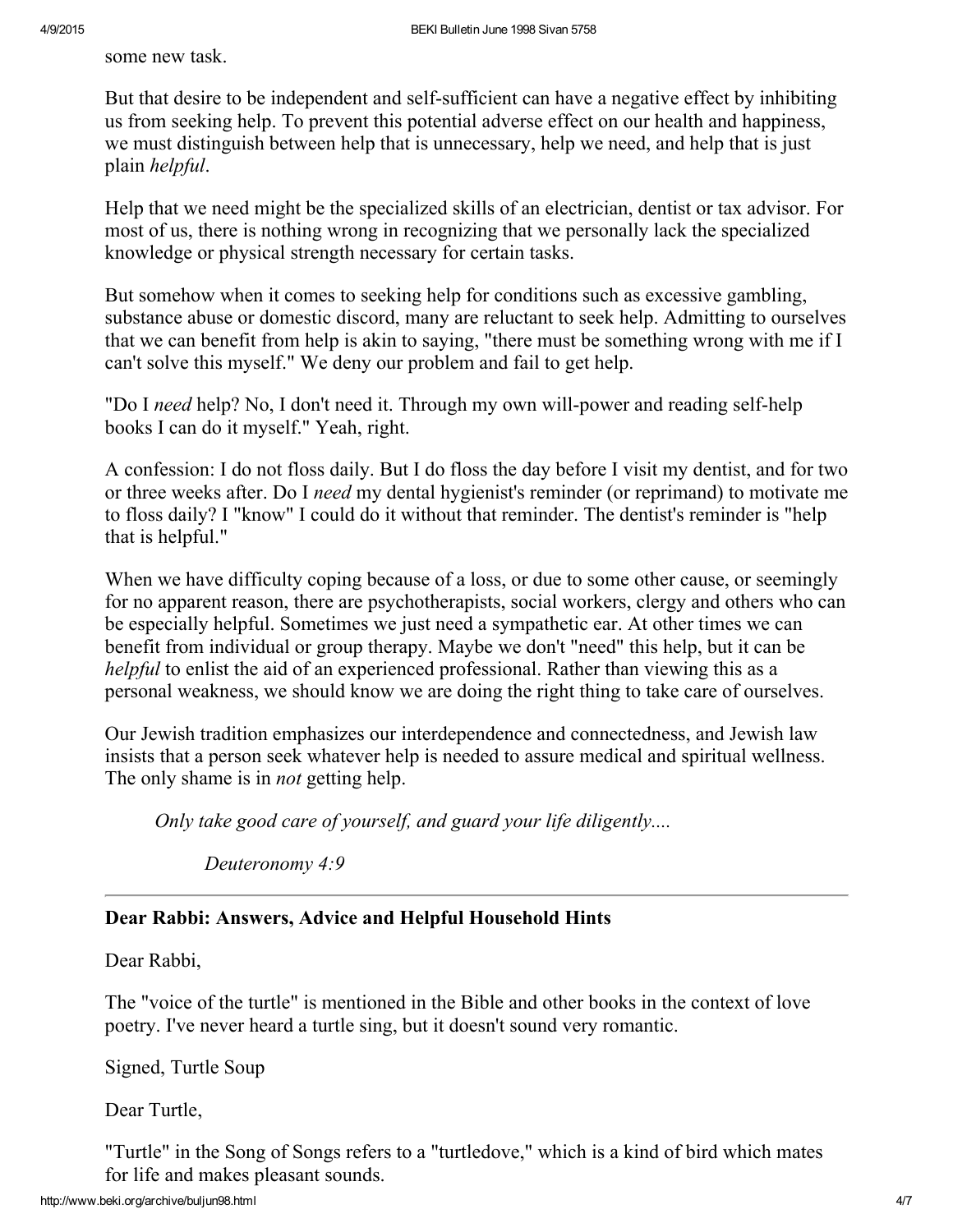some new task.

But that desire to be independent and self-sufficient can have a negative effect by inhibiting us from seeking help. To prevent this potential adverse effect on our health and happiness, we must distinguish between help that is unnecessary, help we need, and help that is just plain helpful.

Help that we need might be the specialized skills of an electrician, dentist or tax advisor. For most of us, there is nothing wrong in recognizing that we personally lack the specialized knowledge or physical strength necessary for certain tasks.

But somehow when it comes to seeking help for conditions such as excessive gambling, substance abuse or domestic discord, many are reluctant to seek help. Admitting to ourselves that we can benefit from help is akin to saying, "there must be something wrong with me if I can't solve this myself." We deny our problem and fail to get help.

"Do I need help? No, I don't need it. Through my own will-power and reading self-help books I can do it myself." Yeah, right.

A confession: I do not floss daily. But I do floss the day before I visit my dentist, and for two or three weeks after. Do I need my dental hygienist's reminder (or reprimand) to motivate me to floss daily? I "know" I could do it without that reminder. The dentist's reminder is "help that is helpful."

When we have difficulty coping because of a loss, or due to some other cause, or seemingly for no apparent reason, there are psychotherapists, social workers, clergy and others who can be especially helpful. Sometimes we just need a sympathetic ear. At other times we can benefit from individual or group therapy. Maybe we don't "need" this help, but it can be helpful to enlist the aid of an experienced professional. Rather than viewing this as a personal weakness, we should know we are doing the right thing to take care of ourselves.

Our Jewish tradition emphasizes our interdependence and connectedness, and Jewish law insists that a person seek whatever help is needed to assure medical and spiritual wellness. The only shame is in *not* getting help.

Only take good care of yourself, and guard your life diligently....

Deuteronomy 4:9

## <span id="page-3-0"></span>Dear Rabbi: Answers, Advice and Helpful Household Hints

Dear Rabbi,

The "voice of the turtle" is mentioned in the Bible and other books in the context of love poetry. I've never heard a turtle sing, but it doesn't sound very romantic.

Signed, Turtle Soup

Dear Turtle,

"Turtle" in the Song of Songs refers to a "turtledove," which is a kind of bird which mates for life and makes pleasant sounds.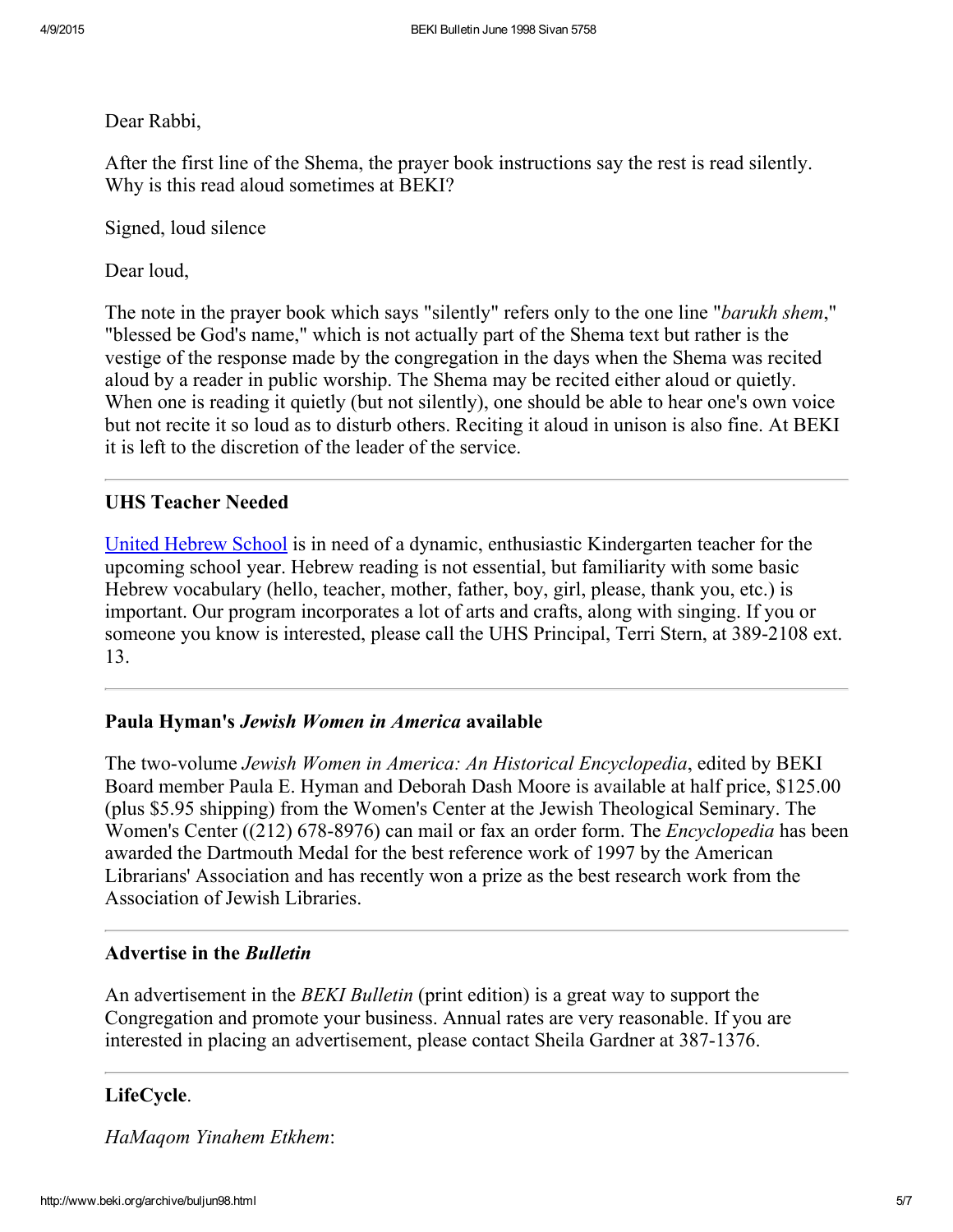Dear Rabbi,

After the first line of the Shema, the prayer book instructions say the rest is read silently. Why is this read aloud sometimes at BEKI?

Signed, loud silence

Dear loud.

The note in the prayer book which says "silently" refers only to the one line "*barukh shem*," "blessed be God's name," which is not actually part of the Shema text but rather is the vestige of the response made by the congregation in the days when the Shema was recited aloud by a reader in public worship. The Shema may be recited either aloud or quietly. When one is reading it quietly (but not silently), one should be able to hear one's own voice but not recite it so loud as to disturb others. Reciting it aloud in unison is also fine. At BEKI it is left to the discretion of the leader of the service.

## <span id="page-4-2"></span>UHS Teacher Needed

United [Hebrew](http://www.beki.org/archive/youth.html#UHS) School is in need of a dynamic, enthusiastic Kindergarten teacher for the upcoming school year. Hebrew reading is not essential, but familiarity with some basic Hebrew vocabulary (hello, teacher, mother, father, boy, girl, please, thank you, etc.) is important. Our program incorporates a lot of arts and crafts, along with singing. If you or someone you know is interested, please call the UHS Principal, Terri Stern, at 389-2108 ext. 13.

## <span id="page-4-0"></span>Paula Hyman's Jewish Women in America available

The two-volume Jewish Women in America: An Historical Encyclopedia, edited by BEKI Board member Paula E. Hyman and Deborah Dash Moore is available at half price, \$125.00 (plus \$5.95 shipping) from the Women's Center at the Jewish Theological Seminary. The Women's Center ((212) 678-8976) can mail or fax an order form. The *Encyclopedia* has been awarded the Dartmouth Medal for the best reference work of 1997 by the American Librarians' Association and has recently won a prize as the best research work from the Association of Jewish Libraries.

#### <span id="page-4-3"></span>Advertise in the Bulletin

An advertisement in the *BEKI Bulletin* (print edition) is a great way to support the Congregation and promote your business. Annual rates are very reasonable. If you are interested in placing an advertisement, please contact Sheila Gardner at 387-1376.

## <span id="page-4-1"></span>LifeCycle.

HaMaqom Yinahem Etkhem: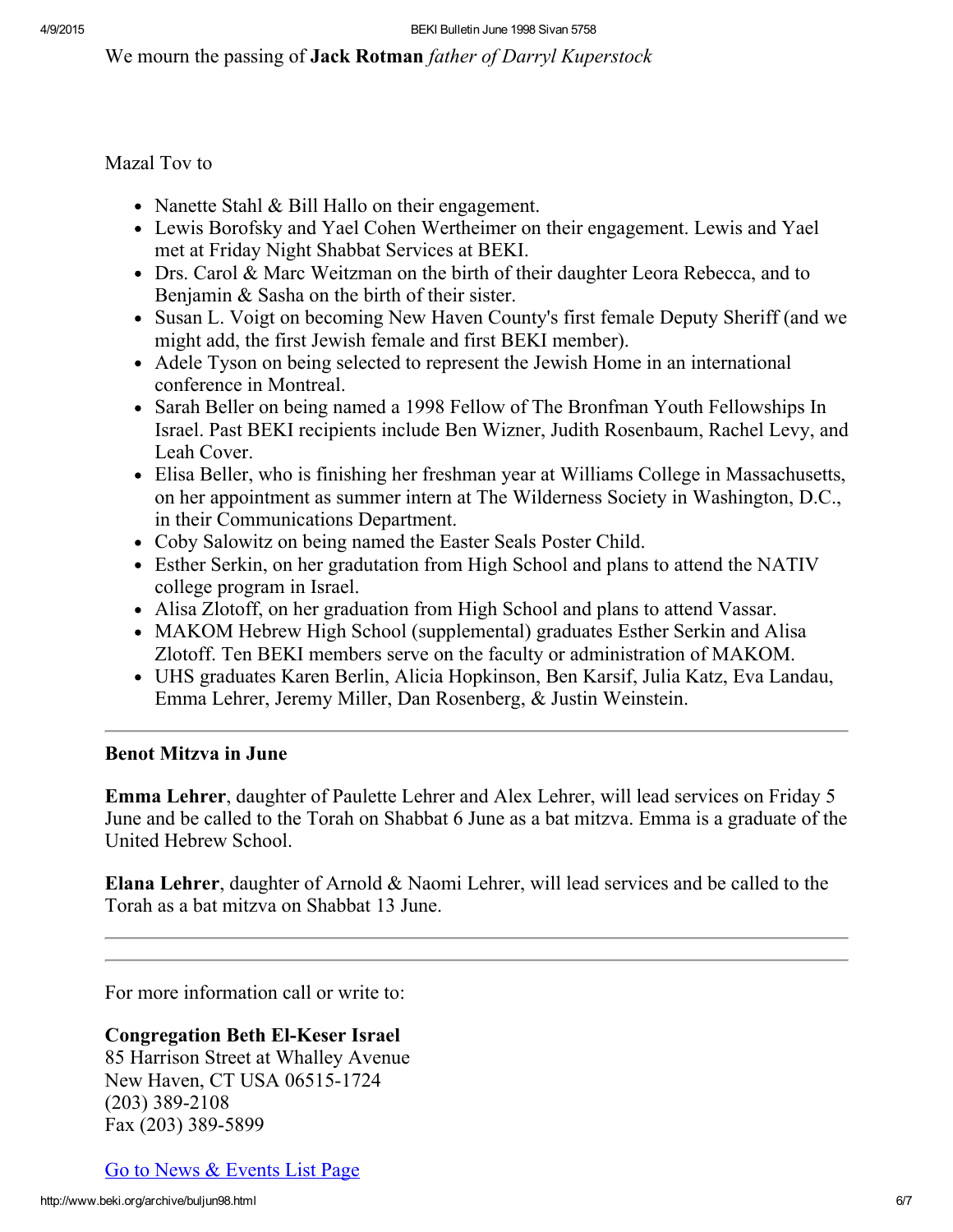We mourn the passing of **Jack Rotman** father of Darryl Kuperstock

Mazal Tov to

- Nanette Stahl & Bill Hallo on their engagement.
- Lewis Borofsky and Yael Cohen Wertheimer on their engagement. Lewis and Yael met at Friday Night Shabbat Services at BEKI.
- Drs. Carol & Marc Weitzman on the birth of their daughter Leora Rebecca, and to Benjamin & Sasha on the birth of their sister.
- Susan L. Voigt on becoming New Haven County's first female Deputy Sheriff (and we might add, the first Jewish female and first BEKI member).
- Adele Tyson on being selected to represent the Jewish Home in an international conference in Montreal.
- Sarah Beller on being named a 1998 Fellow of The Bronfman Youth Fellowships In Israel. Past BEKI recipients include Ben Wizner, Judith Rosenbaum, Rachel Levy, and Leah Cover.
- Elisa Beller, who is finishing her freshman year at Williams College in Massachusetts, on her appointment as summer intern at The Wilderness Society in Washington, D.C., in their Communications Department.
- Coby Salowitz on being named the Easter Seals Poster Child.
- Esther Serkin, on her gradutation from High School and plans to attend the NATIV college program in Israel.
- Alisa Zlotoff, on her graduation from High School and plans to attend Vassar.
- MAKOM Hebrew High School (supplemental) graduates Esther Serkin and Alisa Zlotoff. Ten BEKI members serve on the faculty or administration of MAKOM.
- UHS graduates Karen Berlin, Alicia Hopkinson, Ben Karsif, Julia Katz, Eva Landau, Emma Lehrer, Jeremy Miller, Dan Rosenberg, & Justin Weinstein.

# <span id="page-5-0"></span>Benot Mitzva in June

Emma Lehrer, daughter of Paulette Lehrer and Alex Lehrer, will lead services on Friday 5 June and be called to the Torah on Shabbat 6 June as a bat mitzva. Emma is a graduate of the United Hebrew School.

Elana Lehrer, daughter of Arnold & Naomi Lehrer, will lead services and be called to the Torah as a bat mitzva on Shabbat 13 June.

For more information call or write to:

# **Congregation Beth El-Keser Israel**

85 Harrison Street at Whalley Avenue New Haven, CT USA 06515-1724  $(203)$  389-2108 Fax (203) 389-5899

Go to News & [Events](http://www.beki.org/archive/newsindex.html) List Page